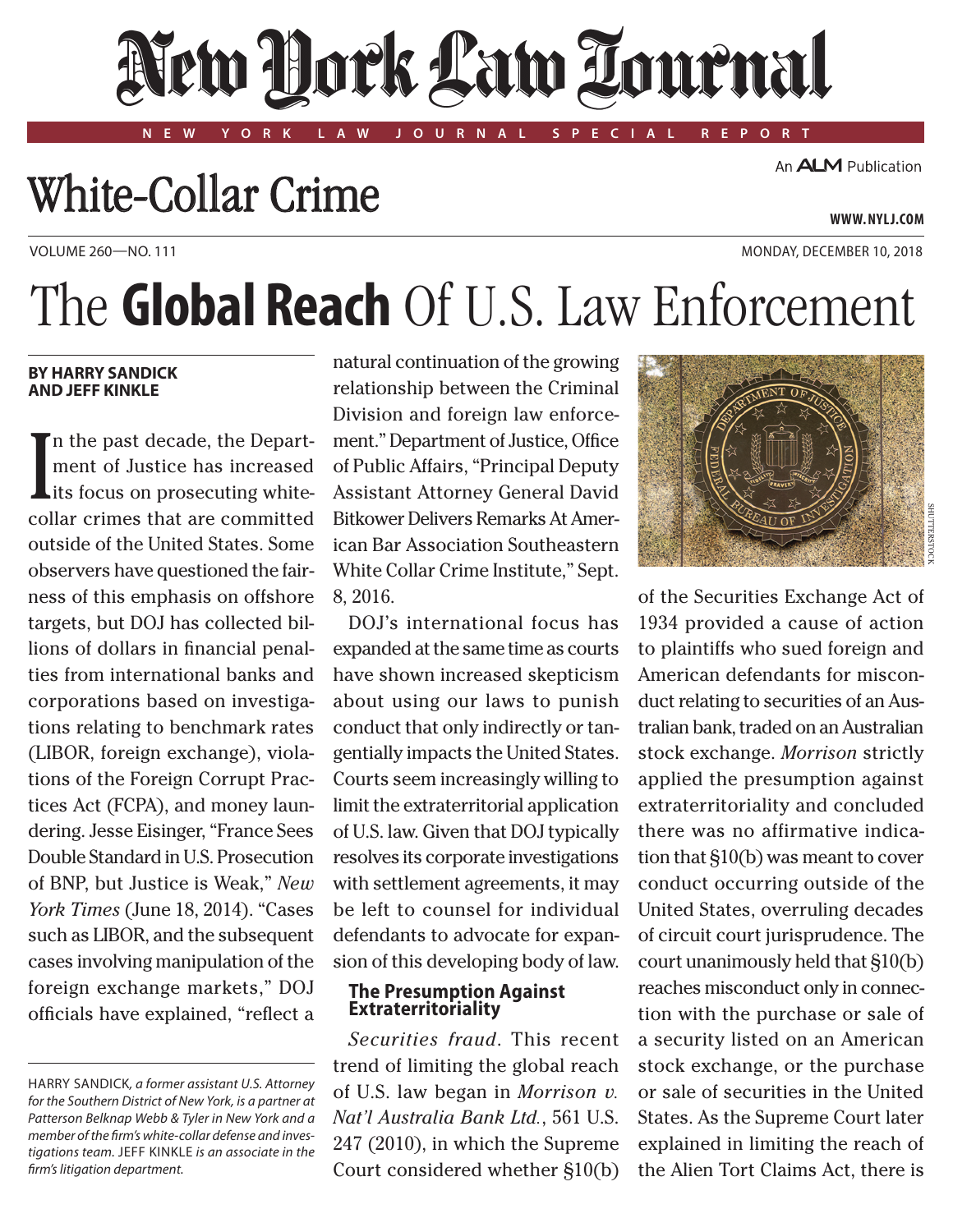# New Dock Law Tournal

**NEW YORK LAW JOURNAL SPECIAL REPORT**

### White-Collar Crime

An **ALM** Publication

**www. NYLJ.com**

VOLUME 260—NO. 111 MONDAY, DECEMBER 10, 2018

## The **Global Reach** Of U.S. Law Enforcement

#### **By Harry Sandick and Jeff Kinkle**

In the past decade, the Depart-<br>ment of Justice has increased<br>its focus on prosecuting white-<br>collar crimes that are committed n the past decade, the Department of Justice has increased Lits focus on prosecuting whiteoutside of the United States. Some observers have questioned the fairness of this emphasis on offshore targets, but DOJ has collected billions of dollars in financial penalties from international banks and corporations based on investigations relating to benchmark rates (LIBOR, foreign exchange), violations of the Foreign Corrupt Practices Act (FCPA), and money laundering. Jesse Eisinger, "France Sees Double Standard in U.S. Prosecution of BNP, but Justice is Weak," *New York Times* (June 18, 2014). "Cases such as LIBOR, and the subsequent cases involving manipulation of the foreign exchange markets," DOJ officials have explained, "reflect a

natural continuation of the growing relationship between the Criminal Division and foreign law enforcement." Department of Justice, Office of Public Affairs, "Principal Deputy Assistant Attorney General David Bitkower Delivers Remarks At American Bar Association Southeastern White Collar Crime Institute," Sept. 8, 2016.

DOJ's international focus has expanded at the same time as courts have shown increased skepticism about using our laws to punish conduct that only indirectly or tangentially impacts the United States. Courts seem increasingly willing to limit the extraterritorial application of U.S. law. Given that DOJ typically resolves its corporate investigations with settlement agreements, it may be left to counsel for individual defendants to advocate for expansion of this developing body of law.

#### **The Presumption Against Extraterritoriality**

*Securities fraud*. This recent trend of limiting the global reach of U.S. law began in *Morrison v. Nat'l Australia Bank Ltd.*, 561 U.S. 247 (2010), in which the Supreme Court considered whether §10(b)



of the Securities Exchange Act of 1934 provided a cause of action to plaintiffs who sued foreign and American defendants for misconduct relating to securities of an Australian bank, traded on an Australian stock exchange. *Morrison* strictly applied the presumption against extraterritoriality and concluded there was no affirmative indication that §10(b) was meant to cover conduct occurring outside of the United States, overruling decades of circuit court jurisprudence. The court unanimously held that §10(b) reaches misconduct only in connection with the purchase or sale of a security listed on an American stock exchange, or the purchase or sale of securities in the United States. As the Supreme Court later explained in limiting the reach of the Alien Tort Claims Act, there is

Harry Sandick*, a former assistant U.S. Attorney for the Southern District of New York, is a partner at Patterson Belknap Webb & Tyler in New York and a member of the firm's white-collar defense and investigations team.* Jeff Kinkle *is an associate in the firm's litigation department.*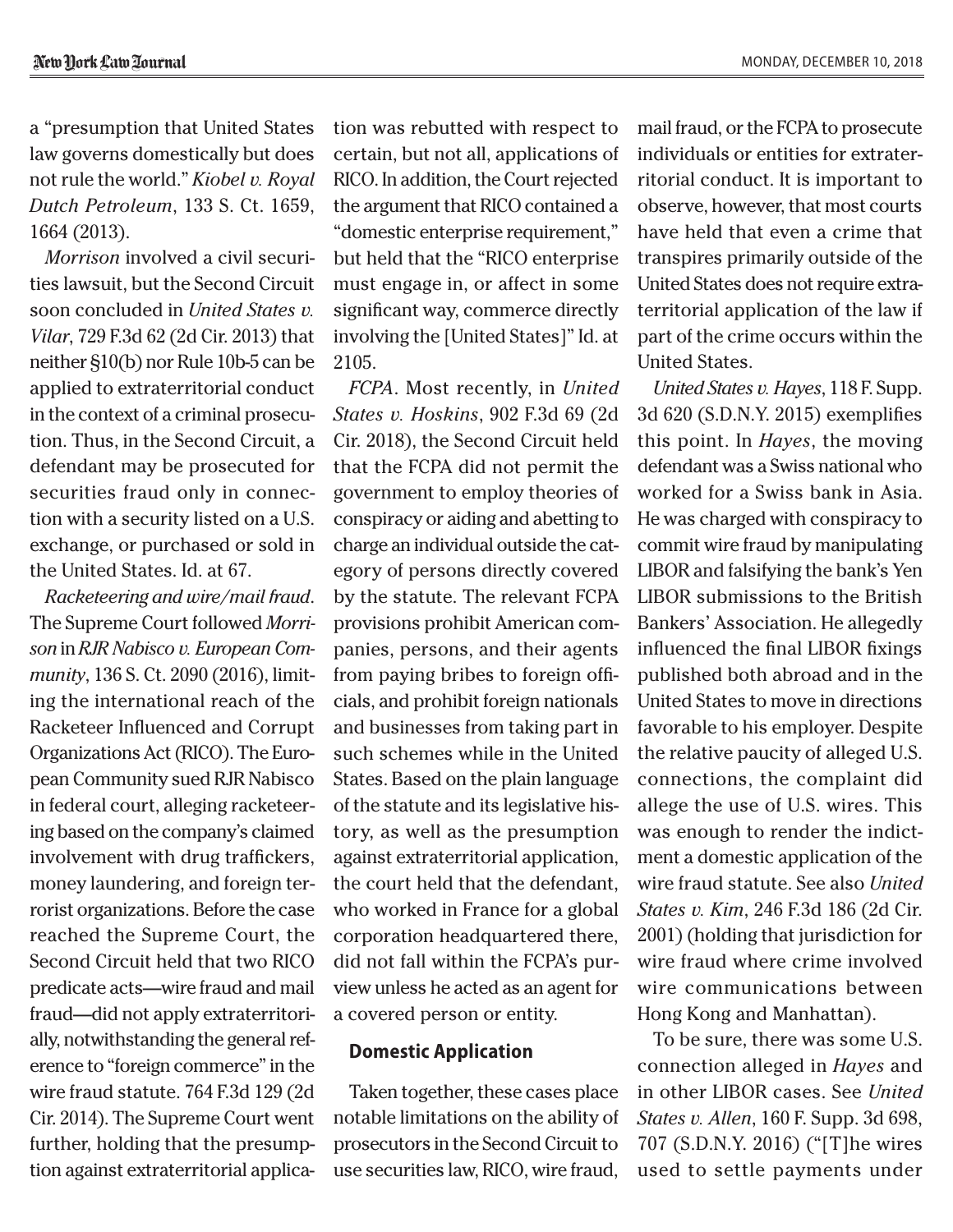a "presumption that United States law governs domestically but does not rule the world." *Kiobel v. Royal Dutch Petroleum*, 133 S. Ct. 1659, 1664 (2013).

*Morrison* involved a civil securities lawsuit, but the Second Circuit soon concluded in *United States v. Vilar*, 729 F.3d 62 (2d Cir. 2013) that neither §10(b) nor Rule 10b-5 can be applied to extraterritorial conduct in the context of a criminal prosecution. Thus, in the Second Circuit, a defendant may be prosecuted for securities fraud only in connection with a security listed on a U.S. exchange, or purchased or sold in the United States. Id. at 67.

*Racketeering and wire/mail fraud*. The Supreme Court followed *Morrison* in *RJR Nabisco v. European Community*, 136 S. Ct. 2090 (2016), limiting the international reach of the Racketeer Influenced and Corrupt Organizations Act (RICO). The European Community sued RJR Nabisco in federal court, alleging racketeering based on the company's claimed involvement with drug traffickers, money laundering, and foreign terrorist organizations. Before the case reached the Supreme Court, the Second Circuit held that two RICO predicate acts—wire fraud and mail fraud—did not apply extraterritorially, notwithstanding the general reference to "foreign commerce" in the wire fraud statute. 764 F.3d 129 (2d Cir. 2014). The Supreme Court went further, holding that the presumption against extraterritorial application was rebutted with respect to certain, but not all, applications of RICO. In addition, the Court rejected the argument that RICO contained a "domestic enterprise requirement," but held that the "RICO enterprise must engage in, or affect in some significant way, commerce directly involving the [United States]" Id. at 2105.

*FCPA*. Most recently, in *United States v. Hoskins*, 902 F.3d 69 (2d Cir. 2018), the Second Circuit held that the FCPA did not permit the government to employ theories of conspiracy or aiding and abetting to charge an individual outside the category of persons directly covered by the statute. The relevant FCPA provisions prohibit American companies, persons, and their agents from paying bribes to foreign officials, and prohibit foreign nationals and businesses from taking part in such schemes while in the United States. Based on the plain language of the statute and its legislative history, as well as the presumption against extraterritorial application, the court held that the defendant, who worked in France for a global corporation headquartered there, did not fall within the FCPA's purview unless he acted as an agent for a covered person or entity.

#### **Domestic Application**

Taken together, these cases place notable limitations on the ability of prosecutors in the Second Circuit to use securities law, RICO, wire fraud,

mail fraud, or the FCPA to prosecute individuals or entities for extraterritorial conduct. It is important to observe, however, that most courts have held that even a crime that transpires primarily outside of the United States does not require extraterritorial application of the law if part of the crime occurs within the United States.

*United States v. Hayes*, 118 F. Supp. 3d 620 (S.D.N.Y. 2015) exemplifies this point. In *Hayes*, the moving defendant was a Swiss national who worked for a Swiss bank in Asia. He was charged with conspiracy to commit wire fraud by manipulating LIBOR and falsifying the bank's Yen LIBOR submissions to the British Bankers' Association. He allegedly influenced the final LIBOR fixings published both abroad and in the United States to move in directions favorable to his employer. Despite the relative paucity of alleged U.S. connections, the complaint did allege the use of U.S. wires. This was enough to render the indictment a domestic application of the wire fraud statute. See also *United States v. Kim*, 246 F.3d 186 (2d Cir. 2001) (holding that jurisdiction for wire fraud where crime involved wire communications between Hong Kong and Manhattan).

To be sure, there was some U.S. connection alleged in *Hayes* and in other LIBOR cases. See *United States v. Allen*, 160 F. Supp. 3d 698, 707 (S.D.N.Y. 2016) ("[T]he wires used to settle payments under